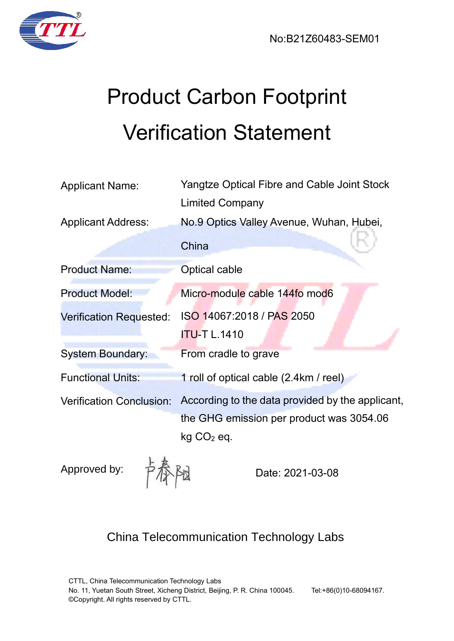



# Product Carbon Footprint Verification Statement

| <b>Applicant Name:</b>          | <b>Yangtze Optical Fibre and Cable Joint Stock</b> |  |
|---------------------------------|----------------------------------------------------|--|
|                                 | <b>Limited Company</b>                             |  |
| <b>Applicant Address:</b>       | No.9 Optics Valley Avenue, Wuhan, Hubei,           |  |
|                                 | China                                              |  |
| <b>Product Name:</b>            | <b>Optical cable</b>                               |  |
| <b>Product Model:</b>           | Micro-module cable 144fo mod6                      |  |
| <b>Verification Requested:</b>  | ISO 14067:2018 / PAS 2050                          |  |
|                                 | <b>ITU-T L.1410</b>                                |  |
| <b>System Boundary:</b>         | From cradle to grave                               |  |
| <b>Functional Units:</b>        | 1 roll of optical cable (2.4km / reel)             |  |
| <b>Verification Conclusion:</b> | According to the data provided by the applicant,   |  |
|                                 | the GHG emission per product was 3054.06           |  |
|                                 | $kg CO2$ eq.                                       |  |
| $\mathbf{1}$                    |                                                    |  |

Approved by:

Pu Date: 2021-03-08

# China Telecommunication Technology Labs